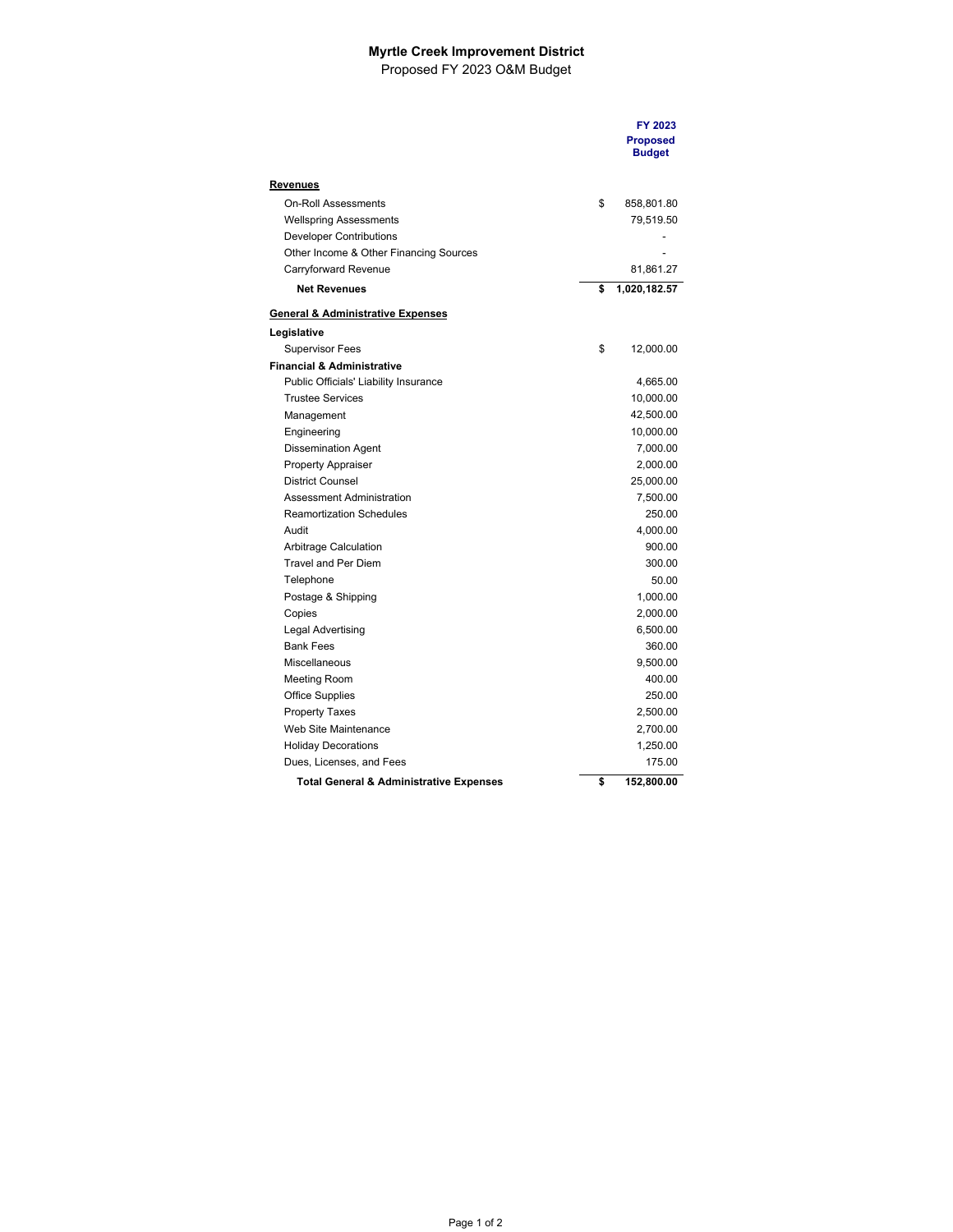## **Myrtle Creek Improvement District**  Proposed FY 2023 O&M Budget

|                                                    | FY 2023<br><b>Proposed</b><br><b>Budget</b> |
|----------------------------------------------------|---------------------------------------------|
|                                                    |                                             |
| <u>Revenues</u>                                    |                                             |
| <b>On-Roll Assessments</b>                         | \$<br>858,801.80                            |
| <b>Wellspring Assessments</b>                      | 79,519.50                                   |
| <b>Developer Contributions</b>                     |                                             |
| Other Income & Other Financing Sources             |                                             |
| Carryforward Revenue                               | 81,861.27                                   |
| <b>Net Revenues</b>                                | \$<br>1,020,182.57                          |
| <b>General &amp; Administrative Expenses</b>       |                                             |
| Legislative                                        |                                             |
| <b>Supervisor Fees</b>                             | \$<br>12,000.00                             |
| <b>Financial &amp; Administrative</b>              |                                             |
| Public Officials' Liability Insurance              | 4,665.00                                    |
| <b>Trustee Services</b>                            | 10,000.00                                   |
| Management                                         | 42,500.00                                   |
| Engineering                                        | 10,000.00                                   |
| <b>Dissemination Agent</b>                         | 7,000.00                                    |
| <b>Property Appraiser</b>                          | 2,000.00                                    |
| <b>District Counsel</b>                            | 25,000.00                                   |
| Assessment Administration                          | 7,500.00                                    |
| <b>Reamortization Schedules</b>                    | 250.00                                      |
| Audit                                              | 4,000.00                                    |
| Arbitrage Calculation                              | 900.00                                      |
| <b>Travel and Per Diem</b>                         | 300.00                                      |
| Telephone                                          | 50.00                                       |
| Postage & Shipping                                 | 1,000.00                                    |
| Copies                                             | 2,000.00                                    |
| Legal Advertising                                  | 6,500.00                                    |
| <b>Bank Fees</b>                                   | 360.00                                      |
| Miscellaneous                                      | 9,500.00                                    |
| Meeting Room                                       | 400.00                                      |
| <b>Office Supplies</b>                             | 250.00                                      |
| <b>Property Taxes</b>                              | 2,500.00                                    |
| Web Site Maintenance                               | 2,700.00                                    |
| <b>Holiday Decorations</b>                         | 1,250.00                                    |
| Dues, Licenses, and Fees                           | 175.00                                      |
| <b>Total General &amp; Administrative Expenses</b> | \$<br>152,800.00                            |